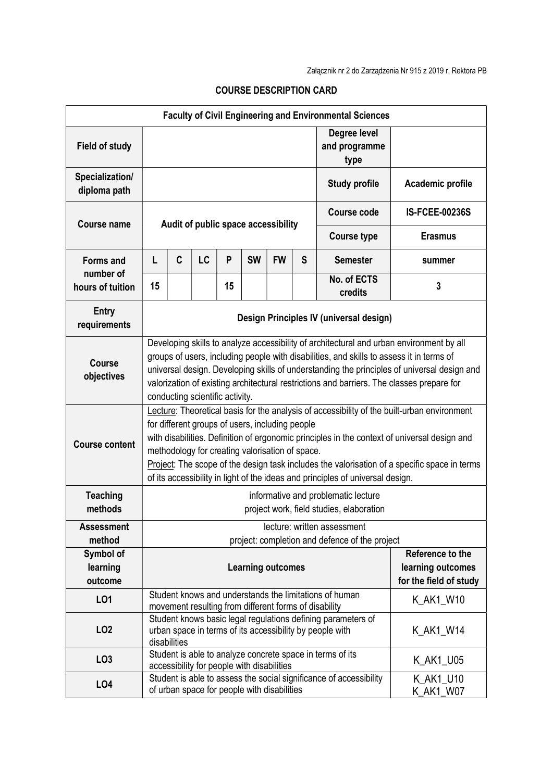| <b>Faculty of Civil Engineering and Environmental Sciences</b> |                                                                                                                                                                                                                                                                                                                                                                                                                                                                                     |              |                                             |    |           |                                                                 |   |                                                                                                                          |                        |  |  |
|----------------------------------------------------------------|-------------------------------------------------------------------------------------------------------------------------------------------------------------------------------------------------------------------------------------------------------------------------------------------------------------------------------------------------------------------------------------------------------------------------------------------------------------------------------------|--------------|---------------------------------------------|----|-----------|-----------------------------------------------------------------|---|--------------------------------------------------------------------------------------------------------------------------|------------------------|--|--|
| <b>Field of study</b>                                          |                                                                                                                                                                                                                                                                                                                                                                                                                                                                                     |              |                                             |    |           |                                                                 |   | Degree level<br>and programme<br>type                                                                                    |                        |  |  |
| Specialization/<br>diploma path                                |                                                                                                                                                                                                                                                                                                                                                                                                                                                                                     |              |                                             |    |           |                                                                 |   | <b>Study profile</b>                                                                                                     | Academic profile       |  |  |
| <b>Course name</b>                                             | Audit of public space accessibility                                                                                                                                                                                                                                                                                                                                                                                                                                                 |              |                                             |    |           |                                                                 |   | <b>Course code</b>                                                                                                       | <b>IS-FCEE-00236S</b>  |  |  |
|                                                                |                                                                                                                                                                                                                                                                                                                                                                                                                                                                                     |              |                                             |    |           |                                                                 |   | <b>Course type</b>                                                                                                       | <b>Erasmus</b>         |  |  |
| <b>Forms and</b><br>number of<br>hours of tuition              | L                                                                                                                                                                                                                                                                                                                                                                                                                                                                                   | C            | LC                                          | P  | <b>SW</b> | <b>FW</b>                                                       | S | <b>Semester</b>                                                                                                          | summer                 |  |  |
|                                                                | 15                                                                                                                                                                                                                                                                                                                                                                                                                                                                                  |              |                                             | 15 |           |                                                                 |   | No. of ECTS<br>credits                                                                                                   | 3                      |  |  |
| <b>Entry</b><br>requirements                                   | Design Principles IV (universal design)                                                                                                                                                                                                                                                                                                                                                                                                                                             |              |                                             |    |           |                                                                 |   |                                                                                                                          |                        |  |  |
| <b>Course</b><br>objectives                                    | Developing skills to analyze accessibility of architectural and urban environment by all<br>groups of users, including people with disabilities, and skills to assess it in terms of<br>universal design. Developing skills of understanding the principles of universal design and<br>valorization of existing architectural restrictions and barriers. The classes prepare for<br>conducting scientific activity.                                                                 |              |                                             |    |           |                                                                 |   |                                                                                                                          |                        |  |  |
| <b>Course content</b>                                          | Lecture: Theoretical basis for the analysis of accessibility of the built-urban environment<br>for different groups of users, including people<br>with disabilities. Definition of ergonomic principles in the context of universal design and<br>methodology for creating valorisation of space.<br>Project: The scope of the design task includes the valorisation of a specific space in terms<br>of its accessibility in light of the ideas and principles of universal design. |              |                                             |    |           |                                                                 |   |                                                                                                                          |                        |  |  |
| <b>Teaching</b>                                                | informative and problematic lecture                                                                                                                                                                                                                                                                                                                                                                                                                                                 |              |                                             |    |           |                                                                 |   |                                                                                                                          |                        |  |  |
| methods                                                        |                                                                                                                                                                                                                                                                                                                                                                                                                                                                                     |              | project work, field studies, elaboration    |    |           |                                                                 |   |                                                                                                                          |                        |  |  |
| <b>Assessment</b><br>method                                    | lecture: written assessment<br>project: completion and defence of the project                                                                                                                                                                                                                                                                                                                                                                                                       |              |                                             |    |           |                                                                 |   |                                                                                                                          |                        |  |  |
| Symbol of<br>learning<br>outcome                               | <b>Learning outcomes</b>                                                                                                                                                                                                                                                                                                                                                                                                                                                            |              |                                             |    |           | Reference to the<br>learning outcomes<br>for the field of study |   |                                                                                                                          |                        |  |  |
| LO1                                                            | Student knows and understands the limitations of human<br>movement resulting from different forms of disability                                                                                                                                                                                                                                                                                                                                                                     |              |                                             |    | K_AK1_W10 |                                                                 |   |                                                                                                                          |                        |  |  |
| LO <sub>2</sub>                                                |                                                                                                                                                                                                                                                                                                                                                                                                                                                                                     | disabilities |                                             |    |           |                                                                 |   | Student knows basic legal regulations defining parameters of<br>urban space in terms of its accessibility by people with | K_AK1_W14              |  |  |
| LO <sub>3</sub>                                                |                                                                                                                                                                                                                                                                                                                                                                                                                                                                                     |              | accessibility for people with disabilities  |    |           |                                                                 |   | Student is able to analyze concrete space in terms of its                                                                | K_AK1_U05              |  |  |
| LO <sub>4</sub>                                                |                                                                                                                                                                                                                                                                                                                                                                                                                                                                                     |              | of urban space for people with disabilities |    |           |                                                                 |   | Student is able to assess the social significance of accessibility                                                       | K_AK1_U10<br>K_AK1_W07 |  |  |

## COURSE DESCRIPTION CARD